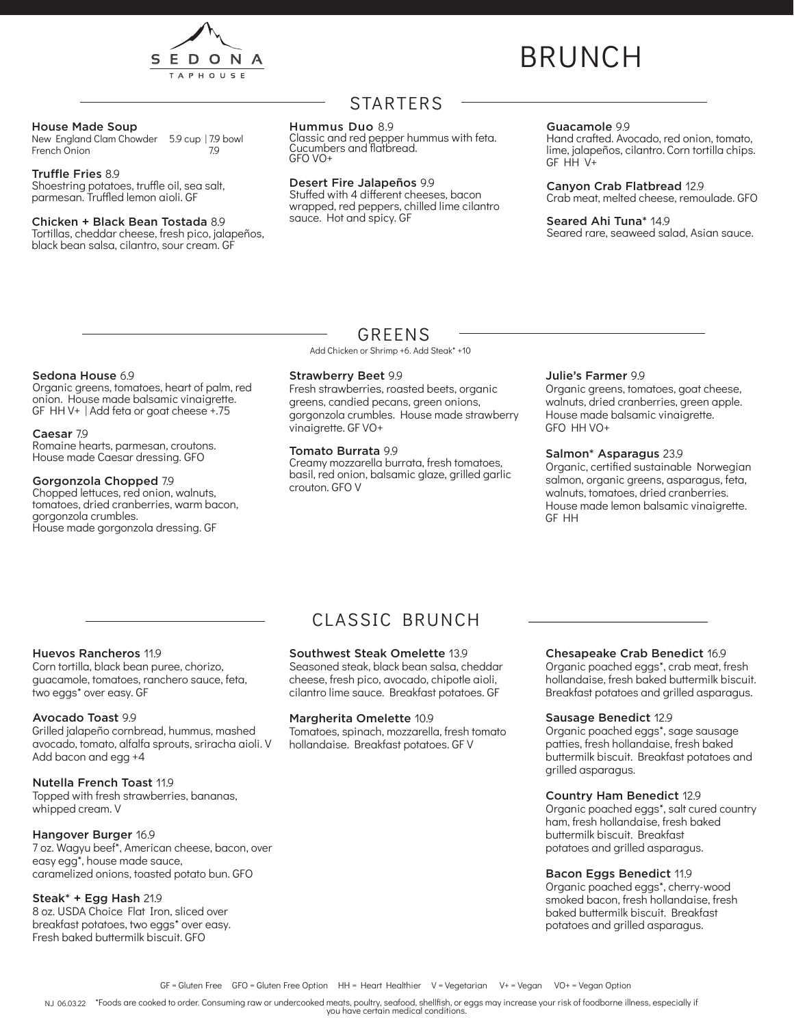

# BRUNCH

#### House Made Soup

New England Clam Chowder 5.9 cup | 7.9 bowl<br>French Onion French Onion

#### Truffle Fries 8.9

Shoestring potatoes, truffle oil, sea salt, parmesan. Truffled lemon aioli. GF

#### Chicken + Black Bean Tostada 8.9

Tortillas, cheddar cheese, fresh pico, jalapeños, black bean salsa, cilantro, sour cream. GF

## STARTERS

#### Hummus Duo 8.9

Classic and red pepper hummus with feta. Cucumbers and flatbread. GFO VO+

#### Desert Fire Jalapeños 9.9

Stuffed with 4 different cheeses, bacon wrapped, red peppers, chilled lime cilantro sauce. Hot and spicy. GF

#### Guacamole 9.9

Hand crafted. Avocado, red onion, tomato, lime, jalapeños, cilantro. Corn tortilla chips. GF HH V+

Canyon Crab Flatbread 12.9

Crab meat, melted cheese, remoulade. GFO

Seared Ahi Tuna\* 14.9 Seared rare, seaweed salad, Asian sauce.

## Sedona House 6.9

Organic greens, tomatoes, heart of palm, red onion. House made balsamic vinaigrette. GF HH V+ | Add feta or goat cheese +.75

#### Caesar 7.9

Romaine hearts, parmesan, croutons. House made Caesar dressing. GFO

#### Gorgonzola Chopped 7.9

Chopped lettuces, red onion, walnuts, tomatoes, dried cranberries, warm bacon, gorgonzola crumbles. House made gorgonzola dressing. GF

## GREENS

Add Chicken or Shrimp +6. Add Steak\* +10

#### Strawberry Beet 9.9

Fresh strawberries, roasted beets, organic greens, candied pecans, green onions, gorgonzola crumbles. House made strawberry vinaigrette. GF VO+

#### Tomato Burrata 9.9

Creamy mozzarella burrata, fresh tomatoes, basil, red onion, balsamic glaze, grilled garlic crouton. GFO V

#### Julie's Farmer 9.9

Organic greens, tomatoes, goat cheese, walnuts, dried cranberries, green apple. House made balsamic vinaigrette. GFO HH VO+

#### Salmon\* Asparagus 23.9

Organic, certified sustainable Norwegian salmon, organic greens, asparagus, feta, walnuts, tomatoes, dried cranberries. House made lemon balsamic vinaigrette. GF HH

#### Huevos Rancheros 11.9

Corn tortilla, black bean puree, chorizo, guacamole, tomatoes, ranchero sauce, feta, two eggs\* over easy. GF

#### Avocado Toast 9.9

Grilled jalapeño cornbread, hummus, mashed avocado, tomato, alfalfa sprouts, sriracha aioli. V Add bacon and egg +4

#### Nutella French Toast 11.9

Topped with fresh strawberries, bananas, whipped cream. V

#### Hangover Burger 16.9

7 oz. Wagyu beef\*, American cheese, bacon, over easy egg\*, house made sauce, caramelized onions, toasted potato bun. GFO

#### Steak\* + Egg Hash 21.9

8 oz. USDA Choice Flat Iron, sliced over breakfast potatoes, two eggs\* over easy. Fresh baked buttermilk biscuit. GFO

## CLASSIC BRUNCH

#### Southwest Steak Omelette 13.9

Seasoned steak, black bean salsa, cheddar cheese, fresh pico, avocado, chipotle aioli, cilantro lime sauce. Breakfast potatoes. GF

#### Margherita Omelette 10.9

Tomatoes, spinach, mozzarella, fresh tomato hollandaise. Breakfast potatoes. GF V

#### Chesapeake Crab Benedict 16.9

Organic poached eggs\*, crab meat, fresh hollandaise, fresh baked buttermilk biscuit. Breakfast potatoes and grilled asparagus.

#### Sausage Benedict 12.9

Organic poached eggs\*, sage sausage patties, fresh hollandaise, fresh baked buttermilk biscuit. Breakfast potatoes and grilled asparagus.

#### Country Ham Benedict 12.9

Organic poached eggs\*, salt cured country ham, fresh hollandaise, fresh baked buttermilk biscuit. Breakfast potatoes and grilled asparagus.

### Bacon Eggs Benedict 11.9

Organic poached eggs\*, cherry-wood smoked bacon, fresh hollandaise, fresh baked buttermilk biscuit. Breakfast potatoes and grilled asparagus.

NJ 06.03.22 \*Foods are cooked to order. Consuming raw or undercooked meats, poultry, seafood, shellfish, or eggs may increase your risk of foodborne illness, especially if you have certain medical conditions.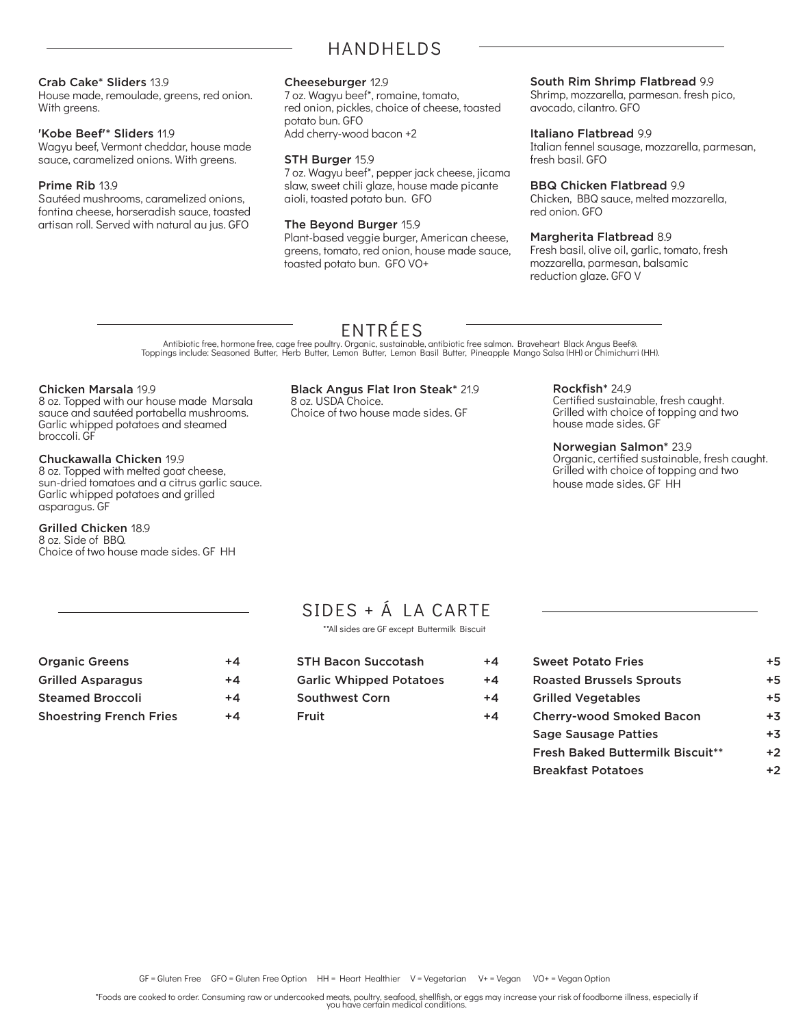## HANDHELDS

#### Crab Cake\* Sliders 13.9

House made, remoulade, greens, red onion. With greens.

#### 'Kobe Beef'\* Sliders 11.9

Wagyu beef, Vermont cheddar, house made sauce, caramelized onions. With greens.

#### Prime Rib 13.9

Sautéed mushrooms, caramelized onions, fontina cheese, horseradish sauce, toasted artisan roll. Served with natural au jus. GFO

### Cheeseburger 12.9

7 oz. Wagyu beef\*, romaine, tomato, red onion, pickles, choice of cheese, toasted potato bun. GFO Add cherry-wood bacon +2

#### STH Burger 15.9

7 oz. Wagyu beef\*, pepper jack cheese, jicama slaw, sweet chili glaze, house made picante aioli, toasted potato bun. GFO

#### The Beyond Burger 15.9

Plant-based veggie burger, American cheese, greens, tomato, red onion, house made sauce, toasted potato bun. GFO VO+

#### South Rim Shrimp Flatbread 9.9

Shrimp, mozzarella, parmesan. fresh pico, avocado, cilantro. GFO

#### Italiano Flatbread 9.9

Italian fennel sausage, mozzarella, parmesan, fresh basil. GFO

### BBQ Chicken Flatbread 9.9

Chicken, BBQ sauce, melted mozzarella, red onion. GFO

#### Margherita Flatbread 8.9

Fresh basil, olive oil, garlic, tomato, fresh mozzarella, parmesan, balsamic reduction glaze. GFO V

## ENTRÉES

Antibiotic free, hormone free, cage free poultry. Organic, sustainable, antibiotic free salmon. Braveheart Black Angus Beef®.<br>Toppings include: Seasoned Butter, Herb Butter, Lemon Butter, Lemon Basil Butter, Pineapple Mang

#### Chicken Marsala 19.9

8 oz. Topped with our house made Marsala sauce and sautéed portabella mushrooms. Garlic whipped potatoes and steamed broccoli. GF

#### Chuckawalla Chicken 19.9

8 oz. Topped with melted goat cheese, sun-dried tomatoes and a citrus garlic sauce. Garlic whipped potatoes and grilled asparagus. GF

#### Grilled Chicken 18.9

8 oz. Side of BBQ. Choice of two house made sides. GF HH

#### Black Angus Flat Iron Steak\* 21.9

8 oz. USDA Choice. Choice of two house made sides. GF Rockfish\* 24.9 Certified sustainable, fresh caught. Grilled with choice of topping and two house made sides. GF

#### Norwegian Salmon\* 23.9

Organic, certified sustainable, fresh caught. Grilled with choice of topping and two house made sides. GF HH

## SIDES + Á LA CARTE

\*\*All sides are GF except Buttermilk Biscuit

| <b>Organic Greens</b>    | $+4$ |
|--------------------------|------|
| <b>Grilled Asparagus</b> | $+4$ |
| <b>Steamed Broccoli</b>  | $+4$ |
| Shoestring French Fries  | +4   |

| <b>STH Bacon Succotash</b>     | $+4$ |
|--------------------------------|------|
| <b>Garlic Whipped Potatoes</b> | $+4$ |
| <b>Southwest Corn</b>          | $+4$ |
| Fruit                          | $+4$ |
|                                |      |

| <b>Sweet Potato Fries</b>               | +5   |
|-----------------------------------------|------|
| <b>Roasted Brussels Sprouts</b>         | $+5$ |
| <b>Grilled Vegetables</b>               | $+5$ |
| <b>Cherry-wood Smoked Bacon</b>         | $+3$ |
| <b>Sage Sausage Patties</b>             | $+3$ |
| <b>Fresh Baked Buttermilk Biscuit**</b> | $+2$ |
| <b>Breakfast Potatoes</b>               |      |

\*Foods are cooked to order. Consuming raw or undercooked meats, poultry, seafood, shellfish, or eggs may increase your risk of foodborne illness, especially if you have certain medical conditions.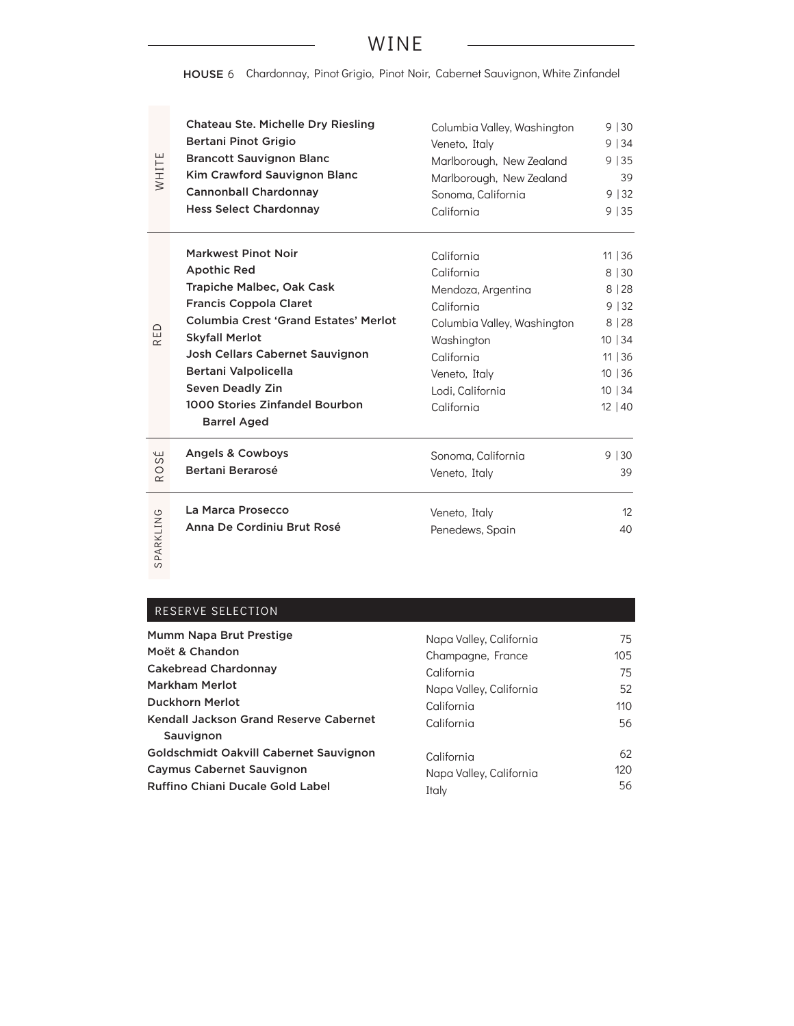## WINE

HOUSE 6 Chardonnay, Pinot Grigio, Pinot Noir, Cabernet Sauvignon, White Zinfandel

| WHITE                            | <b>Chateau Ste. Michelle Dry Riesling</b>                                                                                                                                                                                                                                                                                             | Columbia Valley, Washington                                                                                                                                                | 9 30                                                                                   |
|----------------------------------|---------------------------------------------------------------------------------------------------------------------------------------------------------------------------------------------------------------------------------------------------------------------------------------------------------------------------------------|----------------------------------------------------------------------------------------------------------------------------------------------------------------------------|----------------------------------------------------------------------------------------|
|                                  | Bertani Pinot Grigio                                                                                                                                                                                                                                                                                                                  | Veneto, Italy                                                                                                                                                              | 9 34                                                                                   |
|                                  | <b>Brancott Sauvignon Blanc</b>                                                                                                                                                                                                                                                                                                       | Marlborough, New Zealand                                                                                                                                                   | 9 35                                                                                   |
|                                  | Kim Crawford Sauvignon Blanc                                                                                                                                                                                                                                                                                                          | Marlborough, New Zealand                                                                                                                                                   | 39                                                                                     |
|                                  | <b>Cannonball Chardonnay</b>                                                                                                                                                                                                                                                                                                          | Sonoma, California                                                                                                                                                         | 9 32                                                                                   |
|                                  | <b>Hess Select Chardonnay</b>                                                                                                                                                                                                                                                                                                         | California                                                                                                                                                                 | 9 35                                                                                   |
| ≏<br>ш<br>$\propto$              | <b>Markwest Pinot Noir</b><br><b>Apothic Red</b><br>Trapiche Malbec, Oak Cask<br><b>Francis Coppola Claret</b><br><b>Columbia Crest 'Grand Estates' Merlot</b><br><b>Skyfall Merlot</b><br>Josh Cellars Cabernet Sauvignon<br>Bertani Valpolicella<br><b>Seven Deadly Zin</b><br>1000 Stories Zinfandel Bourbon<br><b>Barrel Aged</b> | California<br>California<br>Mendoza, Argentina<br>California<br>Columbia Valley, Washington<br>Washington<br>California<br>Veneto, Italy<br>Lodi, California<br>California | 11   36<br>8 30<br>8 28<br>9 32<br>8 28<br>10 34<br>11   36<br>10 36<br>10 34<br>12 40 |
| سا<br>$\omega$<br>O<br>$\propto$ | <b>Angels &amp; Cowboys</b><br>Bertani Berarosé                                                                                                                                                                                                                                                                                       | Sonoma, California<br>Veneto, Italy                                                                                                                                        | 9 30<br>39                                                                             |
| SPARKLING                        | La Marca Prosecco                                                                                                                                                                                                                                                                                                                     | Veneto, Italy                                                                                                                                                              | 12                                                                                     |
|                                  | Anna De Cordiniu Brut Rosé                                                                                                                                                                                                                                                                                                            | Penedews, Spain                                                                                                                                                            | 40                                                                                     |

RESERVE SELECTION

| Mumm Napa Brut Prestige                                                                                               | Napa Valley, California                        | 75              |
|-----------------------------------------------------------------------------------------------------------------------|------------------------------------------------|-----------------|
| Moët & Chandon                                                                                                        | Champagne, France                              | 10 <sub>5</sub> |
| <b>Cakebread Chardonnay</b>                                                                                           | California                                     | 75              |
| <b>Markham Merlot</b>                                                                                                 | Napa Valley, California                        | 52              |
| <b>Duckhorn Merlot</b>                                                                                                | California                                     | 110             |
| Kendall Jackson Grand Reserve Cabernet<br>Sauvignon                                                                   | California                                     | 56              |
| Goldschmidt Oakvill Cabernet Sauvignon<br><b>Caymus Cabernet Sauvignon</b><br><b>Ruffino Chiani Ducale Gold Label</b> | California<br>Napa Valley, California<br>Italy | 62<br>120<br>56 |